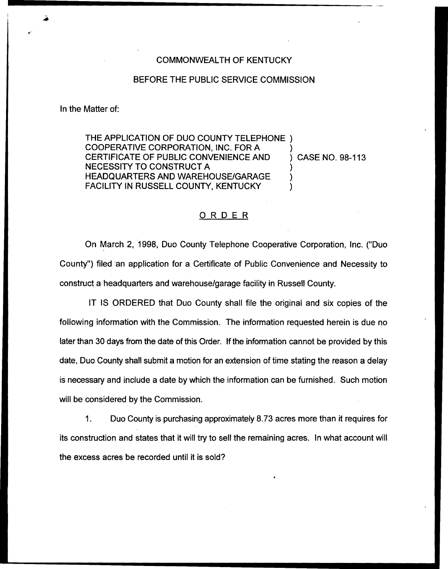## COMMONWEALTH OF KENTUCKY

## BEFORE THE PUBLIC SERVICE COMMISSION

In the Matter of:

THE APPLICATION OF DUO COUNTY TELEPHONE ) COOPERATIVE CORPORATION, INC. FOR A  $\longrightarrow$  ) CASE NO. 98-113 CERTIFICATE OF PUBLIC CONVENIENCE AND NECESSITY TO CONSTRUCT <sup>A</sup> ) HEADQUARTERS AND WAREHOUSE/GARAGE FACILITY IN RUSSELL COUNTY, KENTUCKY

## ORDER

On March 2, 1998, Duo County Telephone Cooperative Corporation, Inc. ("Duo County") filed an application for a Certificate of Public Convenience and Necessity to construct a headquarters and warehouse/garage facility in Russell County.

IT IS ORDERED that Duo County shall file the original and six copies of the following information with the Commission. The information requested herein is due no later than 30 days from the date of this Order. If the information cannot be provided by this date, Duo County shall submit a motion for an extension of time stating the reason a delay is necessary and include a date by which the information can be furnished. Such motion will be considered by the Commission.

1. Duo County is purchasing approximately 8.73 acres more than it requires for its construction and states that it will try to sell the remaining acres. In what account will the excess acres be recorded until it is sold?